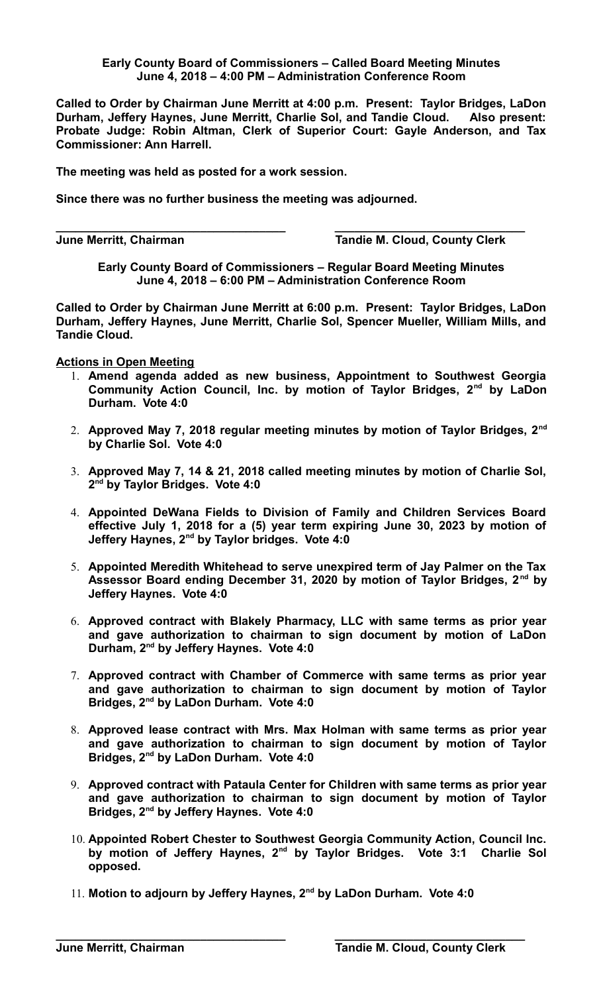## **Early County Board of Commissioners – Called Board Meeting Minutes June 4, 2018 – 4:00 PM – Administration Conference Room**

**Called to Order by Chairman June Merritt at 4:00 p.m. Present: Taylor Bridges, LaDon Durham, Jeffery Haynes, June Merritt, Charlie Sol, and Tandie Cloud. Also present: Probate Judge: Robin Altman, Clerk of Superior Court: Gayle Anderson, and Tax Commissioner: Ann Harrell.**

**The meeting was held as posted for a work session.**

**Since there was no further business the meeting was adjourned.**

**\_\_\_\_\_\_\_\_\_\_\_\_\_\_\_\_\_\_\_\_\_\_\_\_\_\_\_\_\_\_\_\_\_\_\_ \_\_\_\_\_\_\_\_\_\_\_\_\_\_\_\_\_\_\_\_\_\_\_\_\_\_\_\_\_**

**June Merritt, Chairman Tandie M. Cloud, County Clerk**

**Early County Board of Commissioners – Regular Board Meeting Minutes June 4, 2018 – 6:00 PM – Administration Conference Room**

**Called to Order by Chairman June Merritt at 6:00 p.m. Present: Taylor Bridges, LaDon Durham, Jeffery Haynes, June Merritt, Charlie Sol, Spencer Mueller, William Mills, and Tandie Cloud.** 

**Actions in Open Meeting**

- 1. **Amend agenda added as new business, Appointment to Southwest Georgia Community Action Council, Inc. by motion of Taylor Bridges, 2nd by LaDon Durham. Vote 4:0**
- 2. **Approved May 7, 2018 regular meeting minutes by motion of Taylor Bridges, 2nd by Charlie Sol. Vote 4:0**
- 3. **Approved May 7, 14 & 21, 2018 called meeting minutes by motion of Charlie Sol, 2 nd by Taylor Bridges. Vote 4:0**
- 4. **Appointed DeWana Fields to Division of Family and Children Services Board effective July 1, 2018 for a (5) year term expiring June 30, 2023 by motion of Jeffery Haynes, 2nd by Taylor bridges. Vote 4:0**
- 5. **Appointed Meredith Whitehead to serve unexpired term of Jay Palmer on the Tax Assessor Board ending December 31, 2020 by motion of Taylor Bridges, 2 nd by Jeffery Haynes. Vote 4:0**
- 6. **Approved contract with Blakely Pharmacy, LLC with same terms as prior year and gave authorization to chairman to sign document by motion of LaDon Durham, 2nd by Jeffery Haynes. Vote 4:0**
- 7. **Approved contract with Chamber of Commerce with same terms as prior year and gave authorization to chairman to sign document by motion of Taylor Bridges, 2nd by LaDon Durham. Vote 4:0**
- 8. **Approved lease contract with Mrs. Max Holman with same terms as prior year and gave authorization to chairman to sign document by motion of Taylor Bridges, 2nd by LaDon Durham. Vote 4:0**
- 9. **Approved contract with Pataula Center for Children with same terms as prior year and gave authorization to chairman to sign document by motion of Taylor Bridges, 2nd by Jeffery Haynes. Vote 4:0**
- 10. **Appointed Robert Chester to Southwest Georgia Community Action, Council Inc. by motion of Jeffery Haynes, 2nd by Taylor Bridges. Vote 3:1 Charlie Sol opposed.**
- 11. **Motion to adjourn by Jeffery Haynes, 2nd by LaDon Durham. Vote 4:0**

**\_\_\_\_\_\_\_\_\_\_\_\_\_\_\_\_\_\_\_\_\_\_\_\_\_\_\_\_\_\_\_\_\_\_\_ \_\_\_\_\_\_\_\_\_\_\_\_\_\_\_\_\_\_\_\_\_\_\_\_\_\_\_\_\_**